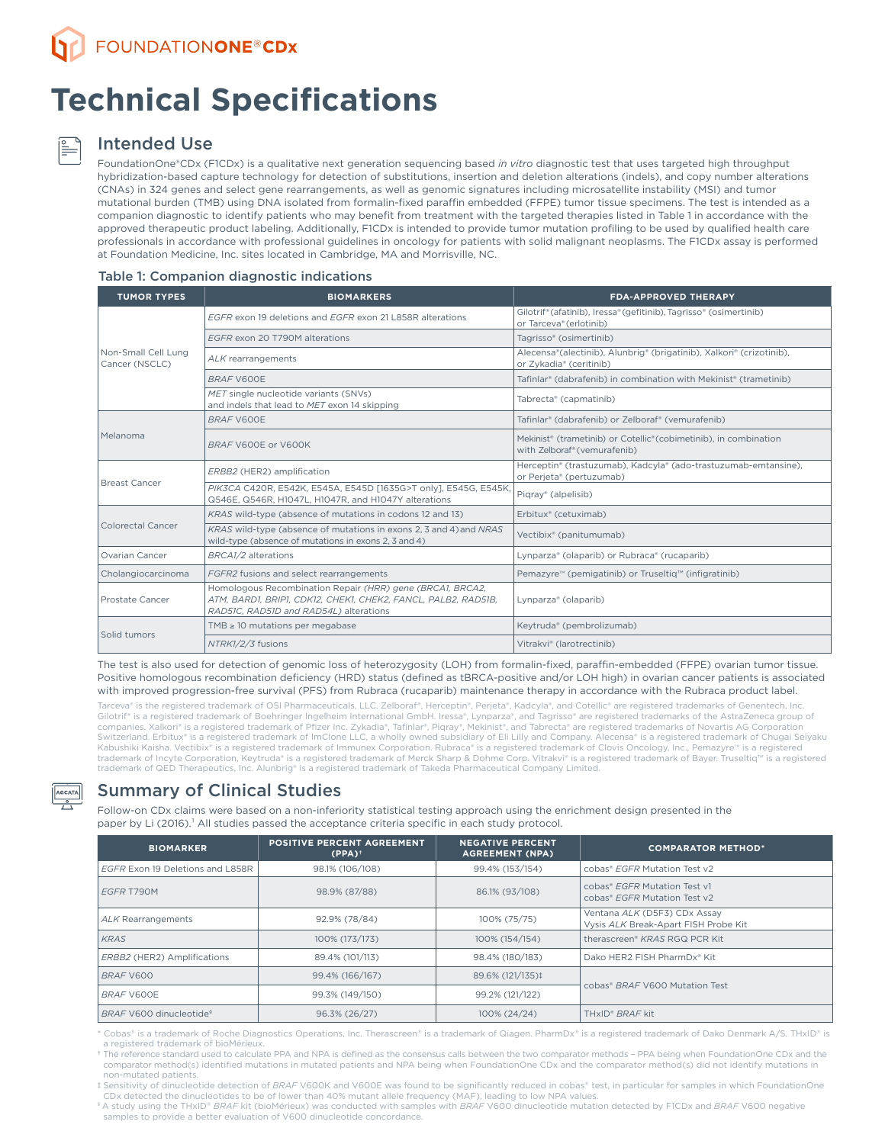# **Technical Specifications**

## Intended Use

FoundationOne®CDx (F1CDx) is a qualitative next generation sequencing based *in vitro* diagnostic test that uses targeted high throughput hybridization-based capture technology for detection of substitutions, insertion and deletion alterations (indels), and copy number alterations (CNAs) in 324 genes and select gene rearrangements, as well as genomic signatures including microsatellite instability (MSI) and tumor mutational burden (TMB) using DNA isolated from formalin-fixed paraffin embedded (FFPE) tumor tissue specimens. The test is intended as a companion diagnostic to identify patients who may benefit from treatment with the targeted therapies listed in Table 1 in accordance with the approved therapeutic product labeling. Additionally, F1CDx is intended to provide tumor mutation profiling to be used by qualified health care professionals in accordance with professional guidelines in oncology for patients with solid malignant neoplasms. The F1CDx assay is performed at Foundation Medicine, Inc. sites located in Cambridge, MA and Morrisville, NC.

### Table 1: Companion diagnostic indications

| <b>TUMOR TYPES</b>                                                                                                                                        | <b>BIOMARKERS</b>                                                                                                                                                    | <b>FDA-APPROVED THERAPY</b>                                                                                               |  |  |
|-----------------------------------------------------------------------------------------------------------------------------------------------------------|----------------------------------------------------------------------------------------------------------------------------------------------------------------------|---------------------------------------------------------------------------------------------------------------------------|--|--|
|                                                                                                                                                           | EGER exon 19 deletions and EGER exon 21 L858R alterations                                                                                                            | Gilotrif® (afatinib), Iressa® (gefitinib), Tagrisso® (osimertinib)<br>or Tarceva® (erlotinib)                             |  |  |
|                                                                                                                                                           | EGFR exon 20 T790M alterations                                                                                                                                       | Tagrisso® (osimertinib)                                                                                                   |  |  |
| Non-Small Cell Lung<br>Cancer (NSCLC)<br>Melanoma<br><b>Breast Cancer</b><br>Colorectal Cancer<br>Ovarian Cancer<br>Cholangiocarcinoma<br>Prostate Cancer | ALK rearrangements                                                                                                                                                   | Alecensa®(alectinib), Alunbrig® (brigatinib), Xalkori® (crizotinib),<br>or Zykadia® (ceritinib)                           |  |  |
|                                                                                                                                                           | BRAF V600E                                                                                                                                                           | Tafinlar® (dabrafenib) in combination with Mekinist® (trametinib)                                                         |  |  |
|                                                                                                                                                           | MET single nucleotide variants (SNVs)<br>and indels that lead to MET exon 14 skipping                                                                                | Tabrecta® (capmatinib)                                                                                                    |  |  |
| Solid tumors                                                                                                                                              | BRAF V600E                                                                                                                                                           | Tafinlar® (dabrafenib) or Zelboraf® (vemurafenib)                                                                         |  |  |
|                                                                                                                                                           | BRAF V600E or V600K                                                                                                                                                  | Mekinist <sup>®</sup> (trametinib) or Cotellic® (cobimetinib), in combination<br>with Zelboraf <sup>®</sup> (vemurafenib) |  |  |
|                                                                                                                                                           | ERBB2 (HER2) amplification                                                                                                                                           | Herceptin® (trastuzumab), Kadcyla® (ado-trastuzumab-emtansine),<br>or Perjeta® (pertuzumab)                               |  |  |
|                                                                                                                                                           | PIK3CA C420R, E542K, E545A, E545D [1635G>T only], E545G, E545K,<br>Q546E, Q546R, H1047L, H1047R, and H1047Y alterations                                              | Pigray® (alpelisib)                                                                                                       |  |  |
|                                                                                                                                                           | KRAS wild-type (absence of mutations in codons 12 and 13)                                                                                                            | Erbitux® (cetuximab)                                                                                                      |  |  |
| NTRK1/2/3 fusions                                                                                                                                         | KRAS wild-type (absence of mutations in exons 2, 3 and 4) and NRAS<br>wild-type (absence of mutations in exons 2, 3 and 4)                                           | Vectibix® (panitumumab)                                                                                                   |  |  |
|                                                                                                                                                           | BRCA1/2 alterations                                                                                                                                                  | Lynparza® (olaparib) or Rubraca® (rucaparib)                                                                              |  |  |
|                                                                                                                                                           | FGFR2 fusions and select rearrangements                                                                                                                              | Pemazyre <sup>™</sup> (pemigatinib) or Truseltiq <sup>™</sup> (infigratinib)                                              |  |  |
|                                                                                                                                                           | Homologous Recombination Repair (HRR) gene (BRCA1, BRCA2,<br>ATM, BARD1, BRIP1, CDK12, CHEK1, CHEK2, FANCL, PALB2, RAD51B,<br>RAD51C, RAD51D and RAD54L) alterations | Lynparza® (olaparib)                                                                                                      |  |  |
|                                                                                                                                                           | TMB $\geq$ 10 mutations per megabase                                                                                                                                 | Keytruda® (pembrolizumab)                                                                                                 |  |  |
|                                                                                                                                                           |                                                                                                                                                                      | Vitrakvi® (larotrectinib)                                                                                                 |  |  |

The test is also used for detection of genomic loss of heterozygosity (LOH) from formalin-fixed, paraffin-embedded (FFPE) ovarian tumor tissue. Positive homologous recombination deficiency (HRD) status (defined as tBRCA-positive and/or LOH high) in ovarian cancer patients is associated with improved progression-free survival (PFS) from Rubraca (rucaparib) maintenance therapy in accordance with the Rubraca product label.

Tarceva® is the registered trademark of OSI Pharmaceuticals, LLC. Zelboraf®, Herceptin®, Perjeta®, Kadcyla®, and Cotellic® are registered trademarks of Genentech, Inc. Gilotrif® is a registered trademark of Boehringer Ingelheim International GmbH. Iressa®, Lynparza®, and Tagrisso® are registered trademarks of the AstraZeneca group of companies. Xalkori® is a registered trademark of Pfizer Inc. Zykadia®, Tafinlar®, Piqray®, Mekinist®, and Tabrecta® are registered trademarks of Novartis AG Corporation<br>Switzerland. Erbitux® is a registered trademark of Im Kabushiki Kaisha. Vectibix® is a registered trademark of Immunex Corporation. Rubraca® is a registered trademark of Clovis Oncology, Inc., Pemazyre<sup>n</sup> is a registered trademark of Incyte Corporation, Keytruda® is a registered trademark of Merck Sharp & Dohme Corp. Vitrakvi® is a registered trademark of Bayer. Truseltiq™ is a registered trademark of QED Therapeutics, Inc. Alunbrig® is a registered trademark of Takeda Pharmaceutical Company Limited

# Summary of Clinical Studies

Follow-on CDx claims were based on a non-inferiority statistical testing approach using the enrichment design presented in the paper by Li (2016).<sup>1</sup> All studies passed the acceptance criteria specific in each study protocol.

| <b>BIOMARKER</b>                    | <b>POSITIVE PERCENT AGREEMENT</b><br>$(PPA)$ <sup>+</sup> | <b>NEGATIVE PERCENT</b><br><b>AGREEMENT (NPA)</b> | <b>COMPARATOR METHOD*</b>                                            |  |
|-------------------------------------|-----------------------------------------------------------|---------------------------------------------------|----------------------------------------------------------------------|--|
| EGFR Exon 19 Deletions and L858R    | 98.1% (106/108)                                           | 99.4% (153/154)                                   | cobas® EGER Mutation Test y2                                         |  |
| <b>EGER T790M</b>                   | 98.9% (87/88)                                             | 86.1% (93/108)                                    | cobas® EGER Mutation Test v1<br>cobas® EGER Mutation Test y2         |  |
| ALK Rearrangements                  | 92.9% (78/84)                                             | 100% (75/75)                                      | Ventana ALK (D5F3) CDx Assay<br>Vysis ALK Break-Apart FISH Probe Kit |  |
| <b>KRAS</b>                         | 100% (173/173)                                            | 100% (154/154)                                    | therascreen <sup>®</sup> KRAS RGQ PCR Kit                            |  |
| ERBB2 (HER2) Amplifications         | 89.4% (101/113)                                           | 98.4% (180/183)                                   | Dako HER2 FISH PharmDx* Kit                                          |  |
| BRAF V600                           | 99.4% (166/167)                                           | 89.6% (121/135)‡                                  | cobas® BRAF V600 Mutation Test                                       |  |
| BRAF V600E                          | 99.3% (149/150)                                           | 99.2% (121/122)                                   |                                                                      |  |
| BRAF V600 dinucleotide <sup>§</sup> | 96.3% (26/27)                                             | 100% (24/24)                                      | TH <sub>xID</sub> <sup>*</sup> BRAF kit                              |  |

\* Cobas® is a trademark of Roche Diagnostics Operations, Inc. Therascreen® is a trademark of Qiagen. PharmDx® is a registered trademark of Dako Denmark A/S. THxID® is a registered trademark of bioMérieux

† The reference standard used to calculate PPA and NPA is defined as the consensus calls between the two comparator methods – PPA being when FoundationOne CDx and the comparator method(s) identified mutations in mutated patients and NPA being when FoundationOne CDx and the comparator method(s) did not identify mutations in non-mutated patients.

‡ Sensitivity of dinucleotide detection of *BRAF* V600K and V600E was found to be significantly reduced in cobas® test, in particular for samples in which FoundationOne

CDx detected the dinucleotides to be of lower than 40% mutant allele frequency (MAF), leading to low NPA values.<br>®A study using the THxID® *BRAF* kit (bioMérieux) was conducted with samples with *BRAF* V600 dinucleotide mu samples to provide a better evaluation of V600 dinucleotide concordance